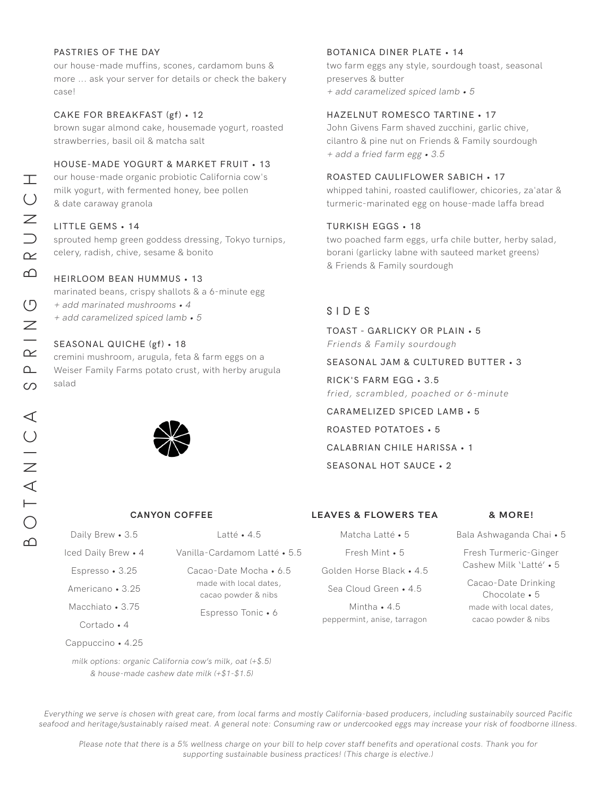#### PASTRIES OF THE DAY

our house-made muffins, scones, cardamom buns & more ... ask your server for details or check the bakery case!

#### CAKE FOR BREAKFAST (gf) • 12

brown sugar almond cake, housemade yogurt, roasted strawberries, basil oil & matcha salt

#### HOUSE-MADE YOGURT & MARKET FRUIT • 13

our house-made organic probiotic California cow's milk yogurt, with fermented honey, bee pollen & date caraway granola

#### LITTLE GEMS • 14

sprouted hemp green goddess dressing, Tokyo turnips, celery, radish, chive, sesame & bonito

#### HEIRLOOM BEAN HUMMUS • 13

marinated beans, crispy shallots & a 6-minute egg

+ add marinated mushrooms • 4

+ add caramelized spiced lamb • 5

#### SEASONAL QUICHE (gf) • 18

cremini mushroom, arugula, feta & farm eggs on a Weiser Family Farms potato crust, with herby arugula salad



| Daily Brew • 3.5    | l atté • 4.5                                                            |
|---------------------|-------------------------------------------------------------------------|
| Iced Daily Brew • 4 | Vanilla-Cardamom Latté • 5.5                                            |
| Espresso • 3.25     | Cacao-Date Mocha • 6.5<br>made with local dates,<br>cacao powder & nibs |
| Americano • 3.25    |                                                                         |
| Macchiato • 3.75    | Espresso Tonic • 6                                                      |
| Cortado $\bullet$ 4 |                                                                         |

#### BOTANICA DINER PLATE • 14

two farm eggs any style, sourdough toast, seasonal preserves & butter + add caramelized spiced lamb • 5

#### HAZELNUT ROMESCO TARTINE • 17

John Givens Farm shaved zucchini, garlic chive, cilantro & pine nut on Friends & Family sourdough + add a fried farm egg • 3.5

#### ROASTED CAULIFLOWER SABICH • 17

whipped tahini, roasted cauliflower, chicories, za'atar & turmeric-marinated egg on house-made laffa bread

#### TURKISH EGGS • 18

two poached farm eggs, urfa chile butter, herby salad, borani (garlicky labne with sauteed market greens) & Friends & Family sourdough

## SIDES

TOAST - GARLICKY OR PLAIN • 5

Friends & Family sourdough

### SEASONAL JAM & CULTURED BUTTER • 3

#### RICK'S FARM EGG • 3.5

fried, scrambled, poached or 6-minute

CARAMELIZED SPICED LAMB • 5

ROASTED POTATOES • 5

CALABRIAN CHILE HARISSA • 1

SEASONAL HOT SAUCE • 2

#### **CANYON COFFEE & MORE! LEAVES & FLOWERS TEA**

Matcha Latté • 5 Fresh Mint • 5 Golden Horse Black • 4.5 Sea Cloud Green • 4.5 Mintha • 4.5

peppermint, anise, tarragon

Fresh Turmeric-Ginger Cashew Milk 'Latté' • 5 Cacao-Date Drinking

Bala Ashwaganda Chai • 5

Chocolate • 5 made with local dates, cacao powder & nibs

milk options: organic California cow's milk, oat (+\$.5) & house-made cashew date milk (+\$1-\$1.5)

Cappuccino • 4.25

Everything we serve is chosen with great care, from local farms and mostly California-based producers, including sustainabily sourced Pacific seafood and heritage/sustainably raised meat. A general note: Consuming raw or undercooked eggs may increase your risk of foodborne illness.

Please note that there is a 5% wellness charge on your bill to help cover staff benefits and operational costs. Thank you for supporting sustainable business practices! (This charge is elective.)